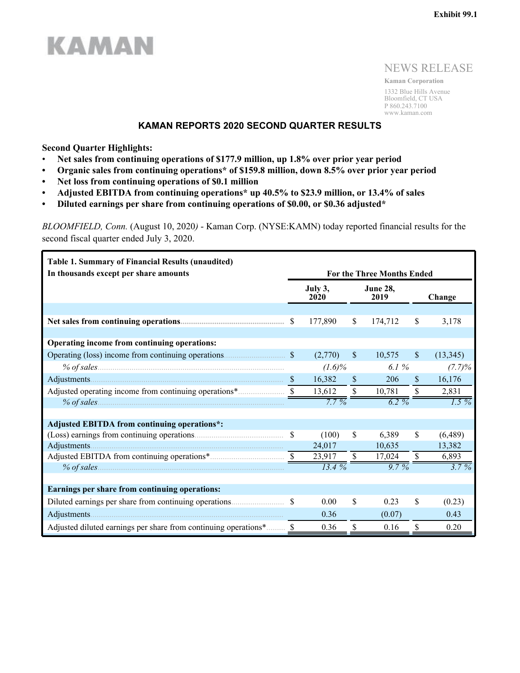## NEWS RELEASE

**Kaman Corporation** 1332 Blue Hills Avenue Bloomfield, CT USA P 860.243.7100 www.kaman.com

## **KAMAN REPORTS 2020 SECOND QUARTER RESULTS**

**Second Quarter Highlights:**

**KAMAN** 

- **Net sales from continuing operations of \$177.9 million, up 1.8% over prior year period**
- **• Organic sales from continuing operations\* of \$159.8 million, down 8.5% over prior year period**
- **• Net loss from continuing operations of \$0.1 million**
- **• Adjusted EBITDA from continuing operations\* up 40.5% to \$23.9 million, or 13.4% of sales**
- **• Diluted earnings per share from continuing operations of \$0.00, or \$0.36 adjusted\***

*BLOOMFIELD, Conn.* (August 10, 2020*)* - Kaman Corp. (NYSE:KAMN) today reported financial results for the second fiscal quarter ended July 3, 2020.

| Table 1. Summary of Financial Results (unaudited)     |               |                 |              |                                                              |              |           |  |
|-------------------------------------------------------|---------------|-----------------|--------------|--------------------------------------------------------------|--------------|-----------|--|
| In thousands except per share amounts                 |               | July 3,<br>2020 |              | <b>For the Three Months Ended</b><br><b>June 28,</b><br>2019 |              | Change    |  |
|                                                       |               |                 |              |                                                              |              |           |  |
|                                                       |               | 177,890         | $\mathbb{S}$ | 174,712                                                      | \$           | 3,178     |  |
|                                                       |               |                 |              |                                                              |              |           |  |
| Operating income from continuing operations:          |               |                 |              |                                                              |              |           |  |
|                                                       |               | (2,770)         | $\mathbb{S}$ | 10,575                                                       | $\mathbb{S}$ | (13, 345) |  |
|                                                       |               | $(1.6)\%$       |              | 6.1 %                                                        |              | (7.7)%    |  |
|                                                       |               | 16,382          | $\mathbb{S}$ | 206                                                          | <sup>S</sup> | 16,176    |  |
| Adjusted operating income from continuing operations* |               | 13,612          |              | $\mathbb{S}$<br>10,781                                       | \$           | 2,831     |  |
|                                                       |               | $7.7\%$         |              | $6.2 \%$                                                     |              | $1.5\%$   |  |
|                                                       |               |                 |              |                                                              |              |           |  |
| <b>Adjusted EBITDA from continuing operations*:</b>   |               |                 |              |                                                              |              |           |  |
|                                                       | <sup>\$</sup> | (100)           | \$           | 6,389                                                        | \$           | (6,489)   |  |
| Adjustments.                                          |               | 24,017          |              | 10,635                                                       |              | 13,382    |  |
|                                                       |               | 23,917          | \$           | 17,024                                                       | \$           | 6,893     |  |
| % of sales                                            |               | $13.4\%$        |              | $9.7\%$                                                      |              | $3.7\%$   |  |
|                                                       |               |                 |              |                                                              |              |           |  |
| Earnings per share from continuing operations:        |               |                 |              |                                                              |              |           |  |
|                                                       |               | 0.00            | \$           | 0.23                                                         | \$           | (0.23)    |  |
|                                                       |               | 0.36            |              | (0.07)                                                       |              | 0.43      |  |
|                                                       |               | 0.36            | \$           | 0.16                                                         | \$           | 0.20      |  |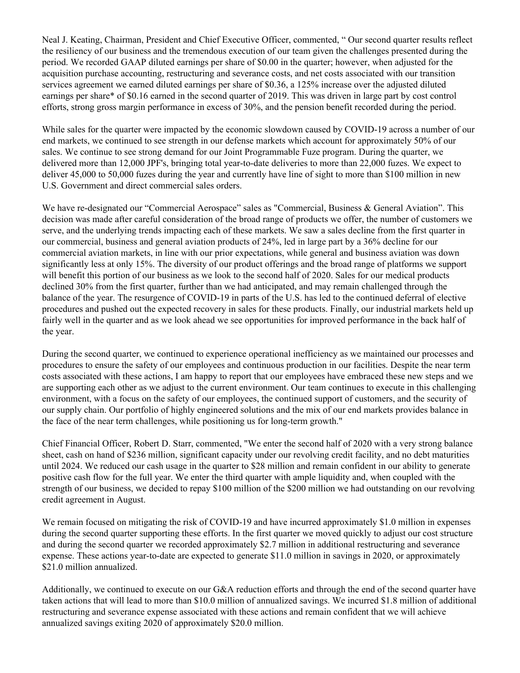Neal J. Keating, Chairman, President and Chief Executive Officer, commented, " Our second quarter results reflect the resiliency of our business and the tremendous execution of our team given the challenges presented during the period. We recorded GAAP diluted earnings per share of \$0.00 in the quarter; however, when adjusted for the acquisition purchase accounting, restructuring and severance costs, and net costs associated with our transition services agreement we earned diluted earnings per share of \$0.36, a 125% increase over the adjusted diluted earnings per share\* of \$0.16 earned in the second quarter of 2019. This was driven in large part by cost control efforts, strong gross margin performance in excess of 30%, and the pension benefit recorded during the period.

While sales for the quarter were impacted by the economic slowdown caused by COVID-19 across a number of our end markets, we continued to see strength in our defense markets which account for approximately 50% of our sales. We continue to see strong demand for our Joint Programmable Fuze program. During the quarter, we delivered more than 12,000 JPF's, bringing total year-to-date deliveries to more than 22,000 fuzes. We expect to deliver 45,000 to 50,000 fuzes during the year and currently have line of sight to more than \$100 million in new U.S. Government and direct commercial sales orders.

We have re-designated our "Commercial Aerospace" sales as "Commercial, Business & General Aviation". This decision was made after careful consideration of the broad range of products we offer, the number of customers we serve, and the underlying trends impacting each of these markets. We saw a sales decline from the first quarter in our commercial, business and general aviation products of 24%, led in large part by a 36% decline for our commercial aviation markets, in line with our prior expectations, while general and business aviation was down significantly less at only 15%. The diversity of our product offerings and the broad range of platforms we support will benefit this portion of our business as we look to the second half of 2020. Sales for our medical products declined 30% from the first quarter, further than we had anticipated, and may remain challenged through the balance of the year. The resurgence of COVID-19 in parts of the U.S. has led to the continued deferral of elective procedures and pushed out the expected recovery in sales for these products. Finally, our industrial markets held up fairly well in the quarter and as we look ahead we see opportunities for improved performance in the back half of the year.

During the second quarter, we continued to experience operational inefficiency as we maintained our processes and procedures to ensure the safety of our employees and continuous production in our facilities. Despite the near term costs associated with these actions, I am happy to report that our employees have embraced these new steps and we are supporting each other as we adjust to the current environment. Our team continues to execute in this challenging environment, with a focus on the safety of our employees, the continued support of customers, and the security of our supply chain. Our portfolio of highly engineered solutions and the mix of our end markets provides balance in the face of the near term challenges, while positioning us for long-term growth."

Chief Financial Officer, Robert D. Starr, commented, "We enter the second half of 2020 with a very strong balance sheet, cash on hand of \$236 million, significant capacity under our revolving credit facility, and no debt maturities until 2024. We reduced our cash usage in the quarter to \$28 million and remain confident in our ability to generate positive cash flow for the full year. We enter the third quarter with ample liquidity and, when coupled with the strength of our business, we decided to repay \$100 million of the \$200 million we had outstanding on our revolving credit agreement in August.

We remain focused on mitigating the risk of COVID-19 and have incurred approximately \$1.0 million in expenses during the second quarter supporting these efforts. In the first quarter we moved quickly to adjust our cost structure and during the second quarter we recorded approximately \$2.7 million in additional restructuring and severance expense. These actions year-to-date are expected to generate \$11.0 million in savings in 2020, or approximately \$21.0 million annualized.

Additionally, we continued to execute on our G&A reduction efforts and through the end of the second quarter have taken actions that will lead to more than \$10.0 million of annualized savings. We incurred \$1.8 million of additional restructuring and severance expense associated with these actions and remain confident that we will achieve annualized savings exiting 2020 of approximately \$20.0 million.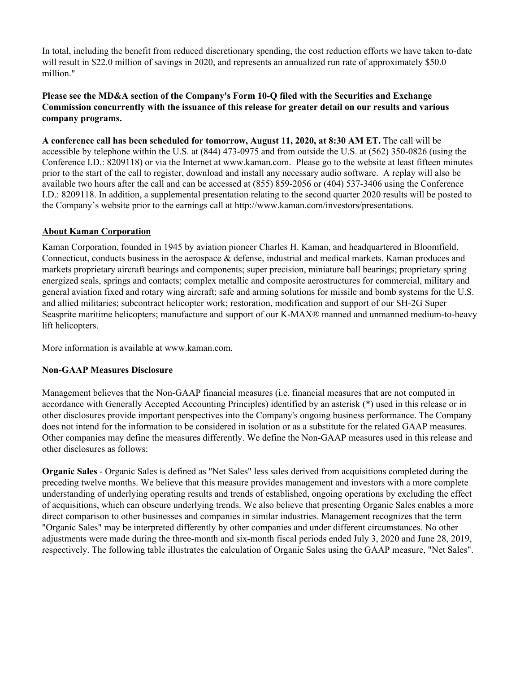In total, including the benefit from reduced discretionary spending, the cost reduction efforts we have taken to-date will result in \$22.0 million of savings in 2020, and represents an annualized run rate of approximately \$50.0 million."

## **Please see the MD&A section of the Company's Form 10-Q filed with the Securities and Exchange Commission concurrently with the issuance of this release for greater detail on our results and various company programs.**

**A conference call has been scheduled for tomorrow, August 11, 2020, at 8:30 AM ET.** The call will be accessible by telephone within the U.S. at (844) 473-0975 and from outside the U.S. at (562) 350-0826 (using the Conference I.D.: 8209118) or via the Internet at www.kaman.com. Please go to the website at least fifteen minutes prior to the start of the call to register, download and install any necessary audio software. A replay will also be available two hours after the call and can be accessed at (855) 859-2056 or (404) 537-3406 using the Conference I.D.: 8209118. In addition, a supplemental presentation relating to the second quarter 2020 results will be posted to the Company's website prior to the earnings call at http://www.kaman.com/investors/presentations.

## **About Kaman Corporation**

Kaman Corporation, founded in 1945 by aviation pioneer Charles H. Kaman, and headquartered in Bloomfield, Connecticut, conducts business in the aerospace & defense, industrial and medical markets. Kaman produces and markets proprietary aircraft bearings and components; super precision, miniature ball bearings; proprietary spring energized seals, springs and contacts; complex metallic and composite aerostructures for commercial, military and general aviation fixed and rotary wing aircraft; safe and arming solutions for missile and bomb systems for the U.S. and allied militaries; subcontract helicopter work; restoration, modification and support of our SH-2G Super Seasprite maritime helicopters; manufacture and support of our K-MAX® manned and unmanned medium-to-heavy lift helicopters.

More information is available at www.kaman.com.

## **Non-GAAP Measures Disclosure**

Management believes that the Non-GAAP financial measures (i.e. financial measures that are not computed in accordance with Generally Accepted Accounting Principles) identified by an asterisk (\*) used in this release or in other disclosures provide important perspectives into the Company's ongoing business performance. The Company does not intend for the information to be considered in isolation or as a substitute for the related GAAP measures. Other companies may define the measures differently. We define the Non-GAAP measures used in this release and other disclosures as follows:

**Organic Sales** - Organic Sales is defined as "Net Sales" less sales derived from acquisitions completed during the preceding twelve months. We believe that this measure provides management and investors with a more complete understanding of underlying operating results and trends of established, ongoing operations by excluding the effect of acquisitions, which can obscure underlying trends. We also believe that presenting Organic Sales enables a more direct comparison to other businesses and companies in similar industries. Management recognizes that the term "Organic Sales" may be interpreted differently by other companies and under different circumstances. No other adjustments were made during the three-month and six-month fiscal periods ended July 3, 2020 and June 28, 2019, respectively. The following table illustrates the calculation of Organic Sales using the GAAP measure, "Net Sales".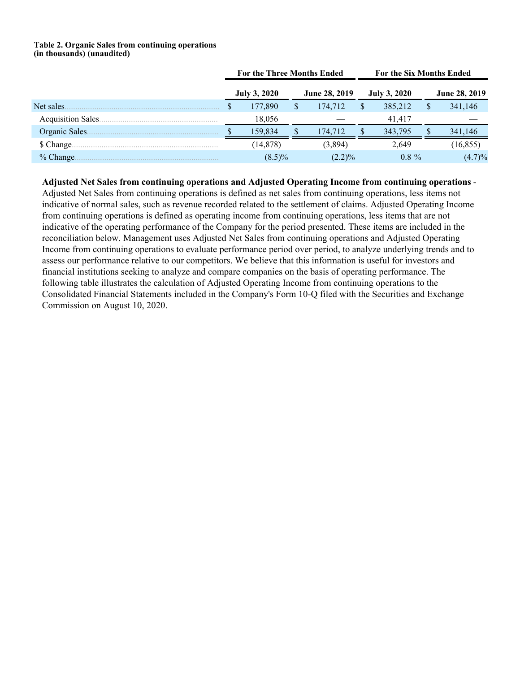#### **Table 2. Organic Sales from continuing operations (in thousands) (unaudited)**

|                   | For the Three Months Ended |                     |  |                      | For the Six Months Ended |                     |  |                      |
|-------------------|----------------------------|---------------------|--|----------------------|--------------------------|---------------------|--|----------------------|
|                   |                            | <b>July 3, 2020</b> |  | <b>June 28, 2019</b> |                          | <b>July 3, 2020</b> |  | <b>June 28, 2019</b> |
| Net sales.        |                            | 177,890             |  | 174,712              |                          | 385,212             |  | 341,146              |
| Acquisition Sales |                            | 18,056              |  |                      |                          | 41.417              |  |                      |
| Organic Sales.    |                            | 159.834             |  | 174.712              |                          | 343.795             |  | 341,146              |
| \$ Change.        |                            | (14, 878)           |  | (3.894)              |                          | 2.649               |  | (16, 855)            |
| $%$ Change.       |                            | $(8.5)\%$           |  | $(2.2)\%$            |                          | $0.8 \%$            |  | (4.7)%               |

**Adjusted Net Sales from continuing operations and Adjusted Operating Income from continuing operations** - Adjusted Net Sales from continuing operations is defined as net sales from continuing operations, less items not indicative of normal sales, such as revenue recorded related to the settlement of claims. Adjusted Operating Income from continuing operations is defined as operating income from continuing operations, less items that are not indicative of the operating performance of the Company for the period presented. These items are included in the reconciliation below. Management uses Adjusted Net Sales from continuing operations and Adjusted Operating Income from continuing operations to evaluate performance period over period, to analyze underlying trends and to assess our performance relative to our competitors. We believe that this information is useful for investors and financial institutions seeking to analyze and compare companies on the basis of operating performance. The following table illustrates the calculation of Adjusted Operating Income from continuing operations to the Consolidated Financial Statements included in the Company's Form 10-Q filed with the Securities and Exchange Commission on August 10, 2020.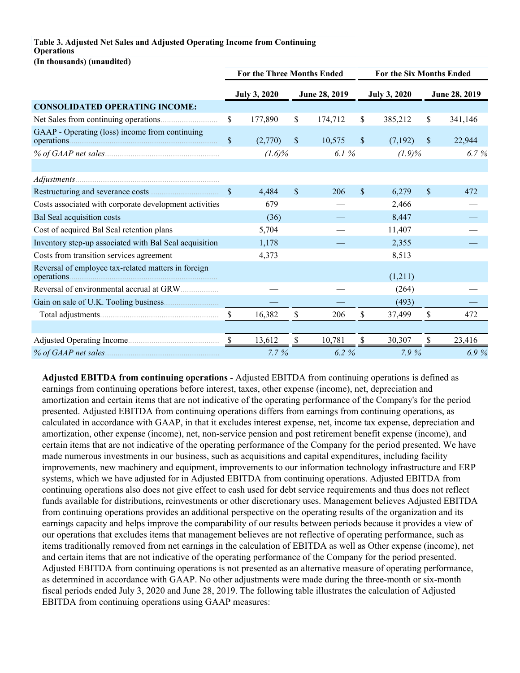#### **Table 3. Adjusted Net Sales and Adjusted Operating Income from Continuing Operations (In thousands) (unaudited)**

|                                                                    | <b>For the Three Months Ended</b> |                     |              |               | For the Six Months Ended |                     |              |               |  |
|--------------------------------------------------------------------|-----------------------------------|---------------------|--------------|---------------|--------------------------|---------------------|--------------|---------------|--|
|                                                                    |                                   | <b>July 3, 2020</b> |              | June 28, 2019 |                          | <b>July 3, 2020</b> |              | June 28, 2019 |  |
| <b>CONSOLIDATED OPERATING INCOME:</b>                              |                                   |                     |              |               |                          |                     |              |               |  |
|                                                                    | \$                                | 177,890             | \$           | 174,712       | \$                       | 385,212             | \$           | 341,146       |  |
| GAAP - Operating (loss) income from continuing                     | \$                                | (2,770)             | \$           | 10,575        | \$                       | (7,192)             | $\mathbb{S}$ | 22,944        |  |
|                                                                    |                                   | $(1.6)\%$           |              | 6.1%          |                          | $(1.9)\%$           |              | 6.7%          |  |
|                                                                    |                                   |                     |              |               |                          |                     |              |               |  |
|                                                                    |                                   |                     |              |               |                          |                     |              |               |  |
|                                                                    | $\mathbf{\$}$                     | 4,484               | \$           | 206           | \$                       | 6,279               | \$           | 472           |  |
| Costs associated with corporate development activities             |                                   | 679                 |              |               |                          | 2,466               |              |               |  |
| Bal Seal acquisition costs                                         |                                   | (36)                |              |               |                          | 8,447               |              |               |  |
| Cost of acquired Bal Seal retention plans                          |                                   | 5,704               |              |               |                          | 11,407              |              |               |  |
| Inventory step-up associated with Bal Seal acquisition             |                                   | 1,178               |              |               |                          | 2,355               |              |               |  |
| Costs from transition services agreement                           |                                   | 4,373               |              |               |                          | 8,513               |              |               |  |
| Reversal of employee tax-related matters in foreign<br>operations. |                                   |                     |              |               |                          | (1,211)             |              |               |  |
|                                                                    |                                   |                     |              |               |                          | (264)               |              |               |  |
| Gain on sale of U.K. Tooling business.                             |                                   |                     |              |               |                          | (493)               |              |               |  |
|                                                                    | $\mathcal{S}$                     | 16,382              | \$           | 206           | \$                       | 37,499              | \$           | 472           |  |
|                                                                    |                                   |                     |              |               |                          |                     |              |               |  |
|                                                                    | <sup>S</sup>                      | 13,612              | <sup>S</sup> | 10,781        | \$                       | 30,307              | <sup>S</sup> | 23,416        |  |
| % of GAAP net sales.                                               |                                   | $7.7\%$             |              | 6.2%          |                          | 7.9%                |              | 6.9%          |  |

**Adjusted EBITDA from continuing operations** - Adjusted EBITDA from continuing operations is defined as earnings from continuing operations before interest, taxes, other expense (income), net, depreciation and amortization and certain items that are not indicative of the operating performance of the Company's for the period presented. Adjusted EBITDA from continuing operations differs from earnings from continuing operations, as calculated in accordance with GAAP, in that it excludes interest expense, net, income tax expense, depreciation and amortization, other expense (income), net, non-service pension and post retirement benefit expense (income), and certain items that are not indicative of the operating performance of the Company for the period presented. We have made numerous investments in our business, such as acquisitions and capital expenditures, including facility improvements, new machinery and equipment, improvements to our information technology infrastructure and ERP systems, which we have adjusted for in Adjusted EBITDA from continuing operations. Adjusted EBITDA from continuing operations also does not give effect to cash used for debt service requirements and thus does not reflect funds available for distributions, reinvestments or other discretionary uses. Management believes Adjusted EBITDA from continuing operations provides an additional perspective on the operating results of the organization and its earnings capacity and helps improve the comparability of our results between periods because it provides a view of our operations that excludes items that management believes are not reflective of operating performance, such as items traditionally removed from net earnings in the calculation of EBITDA as well as Other expense (income), net and certain items that are not indicative of the operating performance of the Company for the period presented. Adjusted EBITDA from continuing operations is not presented as an alternative measure of operating performance, as determined in accordance with GAAP. No other adjustments were made during the three-month or six-month fiscal periods ended July 3, 2020 and June 28, 2019. The following table illustrates the calculation of Adjusted EBITDA from continuing operations using GAAP measures: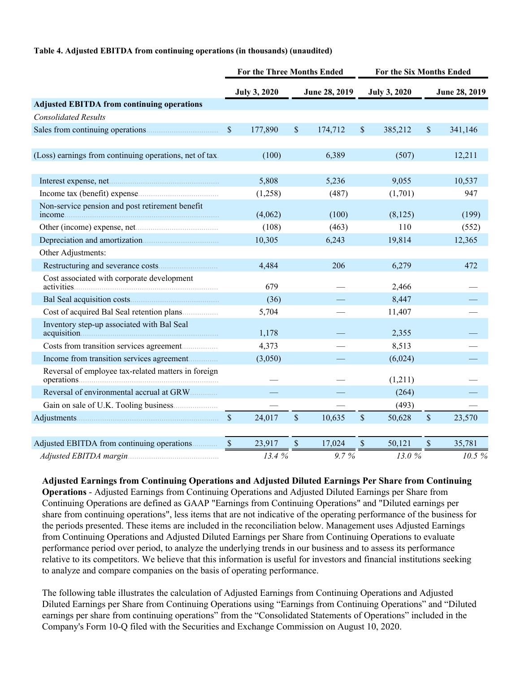#### **Table 4. Adjusted EBITDA from continuing operations (in thousands) (unaudited)**

|                                                           | <b>For the Three Months Ended</b> |                     |                           |               | For the Six Months Ended |                     |                           |               |
|-----------------------------------------------------------|-----------------------------------|---------------------|---------------------------|---------------|--------------------------|---------------------|---------------------------|---------------|
|                                                           |                                   | <b>July 3, 2020</b> |                           | June 28, 2019 |                          | <b>July 3, 2020</b> |                           | June 28, 2019 |
| <b>Adjusted EBITDA from continuing operations</b>         |                                   |                     |                           |               |                          |                     |                           |               |
| <b>Consolidated Results</b>                               |                                   |                     |                           |               |                          |                     |                           |               |
|                                                           | $\mathbb{S}$                      | 177,890             | \$                        | 174,712       | $\mathbb{S}$             | 385,212             | \$                        | 341,146       |
| (Loss) earnings from continuing operations, net of tax.   |                                   | (100)               |                           | 6,389         |                          | (507)               |                           | 12,211        |
|                                                           |                                   |                     |                           |               |                          |                     |                           |               |
|                                                           |                                   | 5,808               |                           | 5,236         |                          | 9,055               |                           | 10,537        |
|                                                           |                                   | (1,258)             |                           | (487)         |                          | (1,701)             |                           | 947           |
| Non-service pension and post retirement benefit<br>income |                                   | (4,062)             |                           | (100)         |                          | (8,125)             |                           | (199)         |
|                                                           |                                   | (108)               |                           | (463)         |                          | 110                 |                           | (552)         |
|                                                           |                                   | 10,305              |                           | 6,243         |                          | 19,814              |                           | 12,365        |
| Other Adjustments:                                        |                                   |                     |                           |               |                          |                     |                           |               |
|                                                           |                                   | 4,484               |                           | 206           |                          | 6,279               |                           | 472           |
| Cost associated with corporate development                |                                   | 679                 |                           |               |                          | 2,466               |                           |               |
|                                                           |                                   | (36)                |                           |               |                          | 8,447               |                           |               |
| Cost of acquired Bal Seal retention plans                 |                                   | 5,704               |                           |               |                          | 11,407              |                           |               |
| Inventory step-up associated with Bal Seal                |                                   | 1,178               |                           |               |                          | 2,355               |                           |               |
|                                                           |                                   | 4,373               |                           |               |                          | 8,513               |                           |               |
| Income from transition services agreement                 |                                   | (3,050)             |                           |               |                          | (6,024)             |                           |               |
| Reversal of employee tax-related matters in foreign       |                                   |                     |                           |               |                          | (1,211)             |                           |               |
| Reversal of environmental accrual at GRW                  |                                   |                     |                           |               |                          | (264)               |                           |               |
|                                                           |                                   |                     |                           |               |                          | (493)               |                           |               |
|                                                           | $\mathsf{\$}$                     | 24,017              | $\boldsymbol{\mathsf{S}}$ | 10,635        | $\mathsf{\$}$            | 50,628              | $\mathsf{\$}$             | 23,570        |
| Adjusted EBITDA from continuing operations                | $\sqrt{S}$                        | 23,917              | $\boldsymbol{\mathsf{S}}$ | 17,024        | $\mathbb{S}$             | 50,121              | $\boldsymbol{\mathsf{S}}$ | 35,781        |
|                                                           |                                   | 13.4%               |                           | 9.7%          |                          | 13.0%               |                           | 10.5 %        |

**Adjusted Earnings from Continuing Operations and Adjusted Diluted Earnings Per Share from Continuing Operations** - Adjusted Earnings from Continuing Operations and Adjusted Diluted Earnings per Share from Continuing Operations are defined as GAAP "Earnings from Continuing Operations" and "Diluted earnings per share from continuing operations", less items that are not indicative of the operating performance of the business for the periods presented. These items are included in the reconciliation below. Management uses Adjusted Earnings from Continuing Operations and Adjusted Diluted Earnings per Share from Continuing Operations to evaluate performance period over period, to analyze the underlying trends in our business and to assess its performance relative to its competitors. We believe that this information is useful for investors and financial institutions seeking to analyze and compare companies on the basis of operating performance.

The following table illustrates the calculation of Adjusted Earnings from Continuing Operations and Adjusted Diluted Earnings per Share from Continuing Operations using "Earnings from Continuing Operations" and "Diluted earnings per share from continuing operations" from the "Consolidated Statements of Operations" included in the Company's Form 10-Q filed with the Securities and Exchange Commission on August 10, 2020.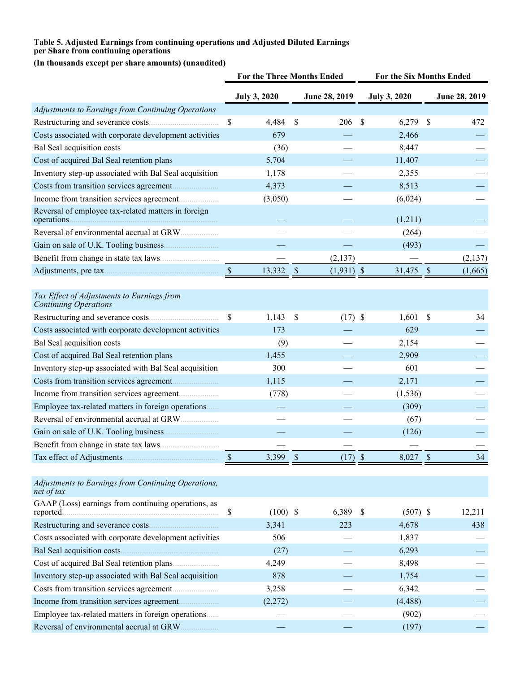#### **Table 5. Adjusted Earnings from continuing operations and Adjusted Diluted Earnings per Share from continuing operations**

**(In thousands except per share amounts) (unaudited)**

|                                                                            | For the Three Months Ended |                     | For the Six Months Ended |               |                     |                           |               |
|----------------------------------------------------------------------------|----------------------------|---------------------|--------------------------|---------------|---------------------|---------------------------|---------------|
|                                                                            |                            | <b>July 3, 2020</b> |                          | June 28, 2019 | <b>July 3, 2020</b> |                           | June 28, 2019 |
| Adjustments to Earnings from Continuing Operations                         |                            |                     |                          |               |                     |                           |               |
|                                                                            | \$                         | 4,484               | $\mathcal{S}$            | 206           | \$<br>6,279         | $\mathcal{S}$             | 472           |
| Costs associated with corporate development activities                     |                            | 679                 |                          |               | 2,466               |                           |               |
| Bal Seal acquisition costs                                                 |                            | (36)                |                          |               | 8,447               |                           |               |
| Cost of acquired Bal Seal retention plans                                  |                            | 5,704               |                          |               | 11,407              |                           |               |
| Inventory step-up associated with Bal Seal acquisition                     |                            | 1,178               |                          |               | 2,355               |                           |               |
|                                                                            |                            | 4,373               |                          |               | 8,513               |                           |               |
|                                                                            |                            | (3,050)             |                          |               | (6,024)             |                           |               |
| Reversal of employee tax-related matters in foreign<br>operations.         |                            |                     |                          |               | (1,211)             |                           |               |
|                                                                            |                            |                     |                          |               | (264)               |                           |               |
|                                                                            |                            |                     |                          |               | (493)               |                           |               |
|                                                                            |                            |                     |                          | (2,137)       |                     |                           | (2, 137)      |
|                                                                            |                            | 13,332              | $\mathbb{S}$             | $(1,931)$ \$  | 31,475              | $\sqrt{S}$                | (1,665)       |
|                                                                            |                            |                     |                          |               |                     |                           |               |
| Tax Effect of Adjustments to Earnings from<br><b>Continuing Operations</b> |                            |                     |                          |               |                     |                           |               |
|                                                                            | \$                         | 1,143               | \$                       | $(17)$ \$     | 1,601               | $\boldsymbol{\mathsf{S}}$ | 34            |
| Costs associated with corporate development activities                     |                            | 173                 |                          |               | 629                 |                           |               |
| Bal Seal acquisition costs                                                 |                            | (9)                 |                          |               | 2,154               |                           |               |
| Cost of acquired Bal Seal retention plans                                  |                            | 1,455               |                          |               | 2,909               |                           |               |
| Inventory step-up associated with Bal Seal acquisition                     |                            | 300                 |                          |               | 601                 |                           |               |
|                                                                            |                            | 1,115               |                          |               | 2,171               |                           |               |
|                                                                            |                            | (778)               |                          |               | (1, 536)            |                           |               |
| Employee tax-related matters in foreign operations                         |                            |                     |                          |               | (309)               |                           |               |
| Reversal of environmental accrual at GRW                                   |                            |                     |                          |               | (67)                |                           |               |
|                                                                            |                            |                     |                          |               | (126)               |                           |               |
|                                                                            |                            |                     |                          |               |                     |                           |               |
|                                                                            |                            | 3,399               | \$                       | $(17)$ \$     | 8,027               | $\mathcal{S}$             | 34            |
|                                                                            |                            |                     |                          |               |                     |                           |               |
| Adjustments to Earnings from Continuing Operations,<br>net of tax          |                            |                     |                          |               |                     |                           |               |
| GAAP (Loss) earnings from continuing operations, as<br>reported.           | \$                         | $(100)$ \$          |                          | 6,389         | \$<br>$(507)$ \$    |                           | 12,211        |
|                                                                            |                            | 3,341               |                          | 223           | 4,678               |                           | 438           |
| Costs associated with corporate development activities                     |                            | 506                 |                          |               | 1,837               |                           |               |
|                                                                            |                            | (27)                |                          |               | 6,293               |                           |               |
|                                                                            |                            | 4,249               |                          |               | 8,498               |                           |               |
| Inventory step-up associated with Bal Seal acquisition                     |                            | 878                 |                          |               | 1,754               |                           |               |
|                                                                            |                            | 3,258               |                          |               | 6,342               |                           |               |
|                                                                            |                            | (2,272)             |                          |               | (4, 488)            |                           |               |
| Employee tax-related matters in foreign operations                         |                            |                     |                          |               | (902)               |                           |               |
|                                                                            |                            |                     |                          |               | (197)               |                           |               |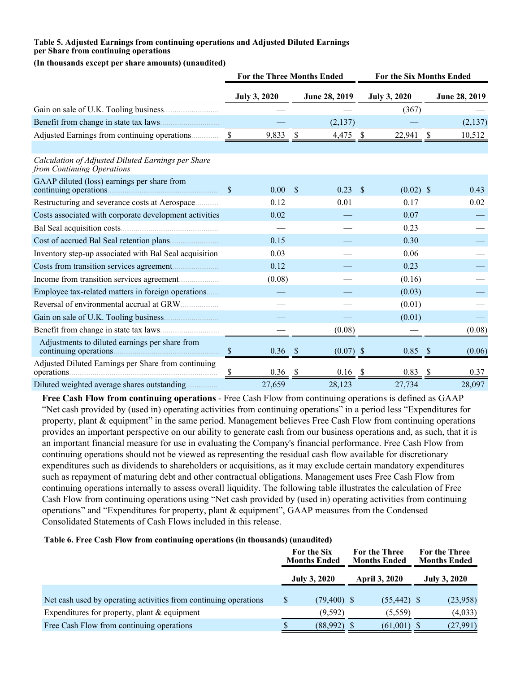#### **Table 5. Adjusted Earnings from continuing operations and Adjusted Diluted Earnings per Share from continuing operations**

#### **(In thousands except per share amounts) (unaudited)**

|                                                                                  | <b>For the Three Months Ended</b> |                     |               |               | For the Six Months Ended |                     |              |               |
|----------------------------------------------------------------------------------|-----------------------------------|---------------------|---------------|---------------|--------------------------|---------------------|--------------|---------------|
|                                                                                  |                                   | <b>July 3, 2020</b> |               | June 28, 2019 |                          | <b>July 3, 2020</b> |              | June 28, 2019 |
|                                                                                  |                                   |                     |               |               |                          | (367)               |              |               |
|                                                                                  |                                   |                     |               | (2,137)       |                          |                     |              | (2,137)       |
| Adjusted Earnings from continuing operations                                     | -S                                | 9,833               | <sup>\$</sup> | 4,475         | - S                      | 22,941              | <sup>S</sup> | 10,512        |
| Calculation of Adjusted Diluted Earnings per Share<br>from Continuing Operations |                                   |                     |               |               |                          |                     |              |               |
| GAAP diluted (loss) earnings per share from<br>continuing operations.            | $\mathcal{S}$                     | 0.00                | $\mathcal{S}$ | 0.23          | - \$                     | $(0.02)$ \$         |              | 0.43          |
| Restructuring and severance costs at Aerospace                                   |                                   | 0.12                |               | 0.01          |                          | 0.17                |              | 0.02          |
| Costs associated with corporate development activities                           |                                   | 0.02                |               |               |                          | 0.07                |              |               |
|                                                                                  |                                   |                     |               |               |                          | 0.23                |              |               |
|                                                                                  |                                   | 0.15                |               |               |                          | 0.30                |              |               |
| Inventory step-up associated with Bal Seal acquisition                           |                                   | 0.03                |               |               |                          | 0.06                |              |               |
|                                                                                  |                                   | 0.12                |               |               |                          | 0.23                |              |               |
|                                                                                  |                                   | (0.08)              |               |               |                          | (0.16)              |              |               |
| Employee tax-related matters in foreign operations                               |                                   |                     |               |               |                          | (0.03)              |              |               |
| Reversal of environmental accrual at GRW.                                        |                                   |                     |               |               |                          | (0.01)              |              |               |
|                                                                                  |                                   |                     |               |               |                          | (0.01)              |              |               |
|                                                                                  |                                   |                     |               | (0.08)        |                          |                     |              | (0.08)        |
| Adjustments to diluted earnings per share from<br>continuing operations          | $\mathcal{S}$                     | $0.36$ \$           |               | $(0.07)$ \$   |                          | 0.85                | - \$         | (0.06)        |
| Adjusted Diluted Earnings per Share from continuing<br>operations.               | <sup>8</sup>                      | 0.36                | $\mathcal{S}$ | 0.16          |                          | 0.83                |              | 0.37          |
| Diluted weighted average shares outstanding                                      |                                   | 27,659              |               | 28,123        |                          | 27,734              |              | 28,097        |

**Free Cash Flow from continuing operations** - Free Cash Flow from continuing operations is defined as GAAP "Net cash provided by (used in) operating activities from continuing operations" in a period less "Expenditures for property, plant & equipment" in the same period. Management believes Free Cash Flow from continuing operations provides an important perspective on our ability to generate cash from our business operations and, as such, that it is an important financial measure for use in evaluating the Company's financial performance. Free Cash Flow from continuing operations should not be viewed as representing the residual cash flow available for discretionary expenditures such as dividends to shareholders or acquisitions, as it may exclude certain mandatory expenditures such as repayment of maturing debt and other contractual obligations. Management uses Free Cash Flow from continuing operations internally to assess overall liquidity. The following table illustrates the calculation of Free Cash Flow from continuing operations using "Net cash provided by (used in) operating activities from continuing operations" and "Expenditures for property, plant & equipment", GAAP measures from the Condensed Consolidated Statements of Cash Flows included in this release.

#### **Table 6. Free Cash Flow from continuing operations (in thousands) (unaudited)**

|                                                                  | For the Six<br><b>Months Ended</b> |                     | <b>For the Three</b><br><b>Months Ended</b> |                |  | For the Three<br><b>Months Ended</b> |
|------------------------------------------------------------------|------------------------------------|---------------------|---------------------------------------------|----------------|--|--------------------------------------|
|                                                                  |                                    | <b>July 3, 2020</b> |                                             | April 3, 2020  |  | <b>July 3, 2020</b>                  |
| Net cash used by operating activities from continuing operations | <sup>S</sup>                       | $(79,400)$ \$       |                                             | $(55, 442)$ \$ |  | (23,958)                             |
| Expenditures for property, plant $&$ equipment                   |                                    | (9,592)             |                                             | (5,559)        |  | (4,033)                              |
| Free Cash Flow from continuing operations                        |                                    | (88,992)            |                                             | (61,001)       |  | (27,991)                             |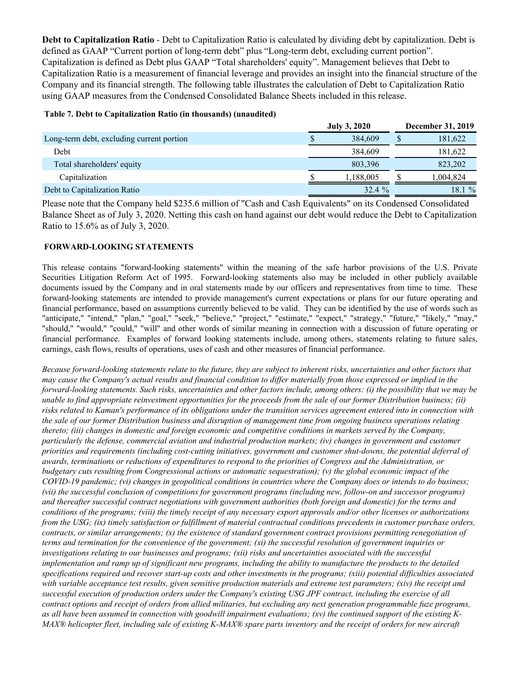**Debt to Capitalization Ratio** - Debt to Capitalization Ratio is calculated by dividing debt by capitalization. Debt is defined as GAAP "Current portion of long-term debt" plus "Long-term debt, excluding current portion". Capitalization is defined as Debt plus GAAP "Total shareholders' equity". Management believes that Debt to Capitalization Ratio is a measurement of financial leverage and provides an insight into the financial structure of the Company and its financial strength. The following table illustrates the calculation of Debt to Capitalization Ratio using GAAP measures from the Condensed Consolidated Balance Sheets included in this release.

#### **Table 7. Debt to Capitalization Ratio (in thousands) (unaudited)**

|                                           | <b>July 3, 2020</b> | <b>December 31, 2019</b> |
|-------------------------------------------|---------------------|--------------------------|
| Long-term debt, excluding current portion | 384.609             | 181,622                  |
| Debt                                      | 384,609             | 181,622                  |
| Total shareholders' equity                | 803,396             | 823,202                  |
| Capitalization                            | 1,188,005           | .004.824                 |
| Debt to Capitalization Ratio              | 32.4%               | 18.1 %                   |

Please note that the Company held \$235.6 million of "Cash and Cash Equivalents" on its Condensed Consolidated Balance Sheet as of July 3, 2020. Netting this cash on hand against our debt would reduce the Debt to Capitalization Ratio to 15.6% as of July 3, 2020.

## **FORWARD-LOOKING STATEMENTS**

This release contains "forward-looking statements" within the meaning of the safe harbor provisions of the U.S. Private Securities Litigation Reform Act of 1995. Forward-looking statements also may be included in other publicly available documents issued by the Company and in oral statements made by our officers and representatives from time to time. These forward-looking statements are intended to provide management's current expectations or plans for our future operating and financial performance, based on assumptions currently believed to be valid. They can be identified by the use of words such as "anticipate," "intend," "plan," "goal," "seek," "believe," "project," "estimate," "expect," "strategy," "future," "likely," "may," "should," "would," "could," "will" and other words of similar meaning in connection with a discussion of future operating or financial performance. Examples of forward looking statements include, among others, statements relating to future sales, earnings, cash flows, results of operations, uses of cash and other measures of financial performance.

*Because forward-looking statements relate to the future, they are subject to inherent risks, uncertainties and other factors that may cause the Company's actual results and financial condition to differ materially from those expressed or implied in the forward-looking statements. Such risks, uncertainties and other factors include, among others: (i) the possibility that we may be unable to find appropriate reinvestment opportunities for the proceeds from the sale of our former Distribution business; (ii) risks related to Kaman's performance of its obligations under the transition services agreement entered into in connection with the sale of our former Distribution business and disruption of management time from ongoing business operations relating thereto; (iii) changes in domestic and foreign economic and competitive conditions in markets served by the Company, particularly the defense, commercial aviation and industrial production markets; (iv) changes in government and customer priorities and requirements (including cost-cutting initiatives, government and customer shut-downs, the potential deferral of awards, terminations or reductions of expenditures to respond to the priorities of Congress and the Administration, or budgetary cuts resulting from Congressional actions or automatic sequestration); (v) the global economic impact of the COVID-19 pandemic; (vi) changes in geopolitical conditions in countries where the Company does or intends to do business; (vii) the successful conclusion of competitions for government programs (including new, follow-on and successor programs) and thereafter successful contract negotiations with government authorities (both foreign and domestic) for the terms and conditions of the programs; (viii) the timely receipt of any necessary export approvals and/or other licenses or authorizations from the USG; (ix) timely satisfaction or fulfillment of material contractual conditions precedents in customer purchase orders, contracts, or similar arrangements; (x) the existence of standard government contract provisions permitting renegotiation of terms and termination for the convenience of the government; (xi) the successful resolution of government inquiries or investigations relating to our businesses and programs; (xii) risks and uncertainties associated with the successful implementation and ramp up of significant new programs, including the ability to manufacture the products to the detailed specifications required and recover start-up costs and other investments in the programs; (xiii) potential difficulties associated with variable acceptance test results, given sensitive production materials and extreme test parameters; (xiv) the receipt and successful execution of production orders under the Company's existing USG JPF contract, including the exercise of all contract options and receipt of orders from allied militaries, but excluding any next generation programmable fuze programs, as all have been assumed in connection with goodwill impairment evaluations; (xv) the continued support of the existing K-MAX® helicopter fleet, including sale of existing K-MAX® spare parts inventory and the receipt of orders for new aircraft*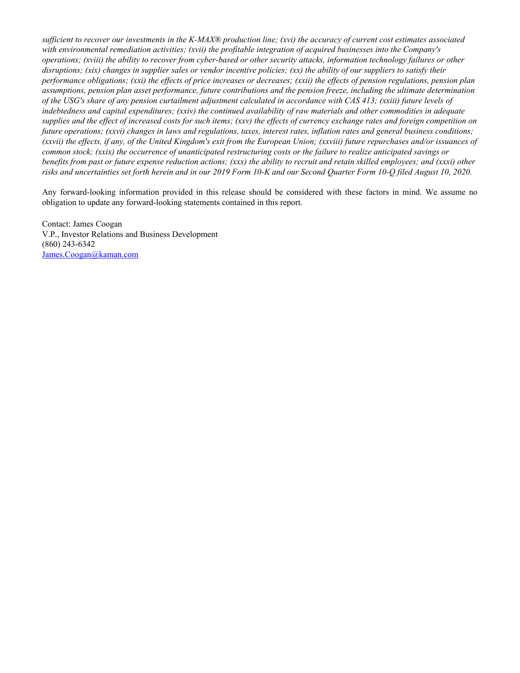*sufficient to recover our investments in the K-MAX® production line; (xvi) the accuracy of current cost estimates associated with environmental remediation activities; (xvii) the profitable integration of acquired businesses into the Company's operations; (xviii) the ability to recover from cyber-based or other security attacks, information technology failures or other disruptions; (xix) changes in supplier sales or vendor incentive policies; (xx) the ability of our suppliers to satisfy their performance obligations; (xxi) the effects of price increases or decreases; (xxii) the effects of pension regulations, pension plan assumptions, pension plan asset performance, future contributions and the pension freeze, including the ultimate determination of the USG's share of any pension curtailment adjustment calculated in accordance with CAS 413; (xxiii) future levels of indebtedness and capital expenditures; (xxiv) the continued availability of raw materials and other commodities in adequate supplies and the effect of increased costs for such items; (xxv) the effects of currency exchange rates and foreign competition on future operations; (xxvi) changes in laws and regulations, taxes, interest rates, inflation rates and general business conditions; (xxvii) the effects, if any, of the United Kingdom's exit from the European Union; (xxviii) future repurchases and/or issuances of common stock; (xxix) the occurrence of unanticipated restructuring costs or the failure to realize anticipated savings or benefits from past or future expense reduction actions; (xxx) the ability to recruit and retain skilled employees; and (xxxi) other risks and uncertainties set forth herein and in our 2019 Form 10-K and our Second Quarter Form 10-Q filed August 10, 2020.*

Any forward-looking information provided in this release should be considered with these factors in mind. We assume no obligation to update any forward-looking statements contained in this report.

Contact: James Coogan V.P., Investor Relations and Business Development (860) 243-6342 James.Coogan@kaman.com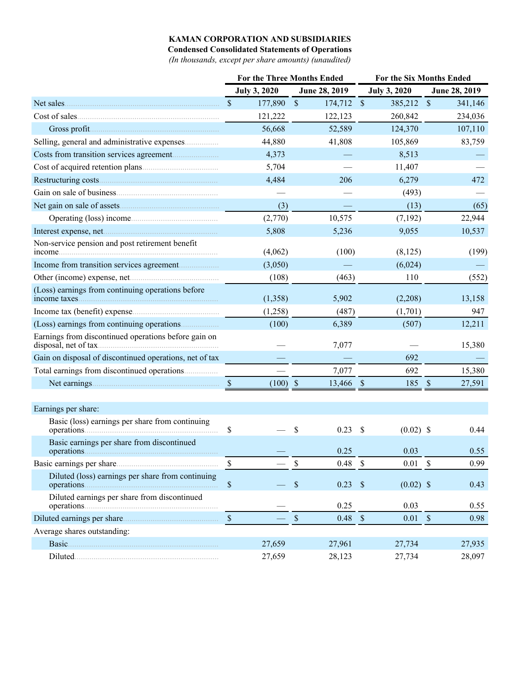## **KAMAN CORPORATION AND SUBSIDIARIES**

**Condensed Consolidated Statements of Operations**

*(In thousands, except per share amounts) (unaudited)*

|                                                            | <b>For the Three Months Ended</b> |                     |                          |                           | <b>For the Six Months Ended</b> |                           |               |  |  |
|------------------------------------------------------------|-----------------------------------|---------------------|--------------------------|---------------------------|---------------------------------|---------------------------|---------------|--|--|
|                                                            |                                   | <b>July 3, 2020</b> | June 28, 2019            |                           | <b>July 3, 2020</b>             |                           | June 28, 2019 |  |  |
| Net sales                                                  | $\mathbb{S}$                      | 177,890             | $\mathcal{S}$<br>174,712 | $\mathcal{S}$             | 385,212 \$                      |                           | 341,146       |  |  |
| Cost of sales                                              |                                   | 121,222             | 122,123                  |                           | 260,842                         |                           | 234,036       |  |  |
|                                                            |                                   | 56,668              | 52,589                   |                           | 124,370                         |                           | 107,110       |  |  |
| Selling, general and administrative expenses               |                                   | 44,880              | 41,808                   |                           | 105,869                         |                           | 83,759        |  |  |
|                                                            |                                   | 4,373               |                          |                           | 8,513                           |                           |               |  |  |
|                                                            |                                   | 5,704               |                          |                           | 11,407                          |                           |               |  |  |
|                                                            |                                   | 4,484               | 206                      |                           | 6,279                           |                           | 472           |  |  |
|                                                            |                                   |                     |                          |                           | (493)                           |                           |               |  |  |
|                                                            |                                   | (3)                 |                          |                           | (13)                            |                           | (65)          |  |  |
| Operating (loss) income                                    |                                   | (2,770)             | 10,575                   |                           | (7,192)                         |                           | 22,944        |  |  |
|                                                            |                                   | 5,808               | 5,236                    |                           | 9,055                           |                           | 10,537        |  |  |
| Non-service pension and post retirement benefit<br>income. |                                   | (4,062)             | (100)                    |                           | (8,125)                         |                           | (199)         |  |  |
|                                                            |                                   | (3,050)             |                          |                           | (6,024)                         |                           |               |  |  |
|                                                            |                                   | (108)               | (463)                    |                           | 110                             |                           | (552)         |  |  |
| (Loss) earnings from continuing operations before          |                                   | (1,358)             | 5,902                    |                           | (2,208)                         |                           | 13,158        |  |  |
|                                                            |                                   | (1,258)             | (487)                    |                           | (1,701)                         |                           | 947           |  |  |
|                                                            |                                   | (100)               | 6,389                    |                           | (507)                           |                           | 12,211        |  |  |
| Earnings from discontinued operations before gain on       |                                   |                     | 7,077                    |                           |                                 |                           | 15,380        |  |  |
| Gain on disposal of discontinued operations, net of tax    |                                   |                     |                          |                           | 692                             |                           |               |  |  |
| Total earnings from discontinued operations                |                                   |                     | 7,077                    |                           | 692                             |                           | 15,380        |  |  |
|                                                            | $\mathcal{S}$                     | $(100)$ \$          | 13,466 \$                |                           | 185                             | $\mathcal{S}$             | 27,591        |  |  |
| Earnings per share:                                        |                                   |                     |                          |                           |                                 |                           |               |  |  |
| Basic (loss) earnings per share from continuing            |                                   |                     |                          |                           |                                 |                           |               |  |  |
|                                                            | \$                                |                     | \$<br>0.23               | \$                        | $(0.02)$ \$                     |                           | 0.44          |  |  |
| Basic earnings per share from discontinued                 |                                   |                     | 0.25                     |                           | 0.03                            |                           | 0.55          |  |  |
|                                                            | \$                                |                     | \$<br>0.48               | $\boldsymbol{\mathsf{S}}$ | 0.01                            | $\boldsymbol{\mathsf{S}}$ | 0.99          |  |  |
| Diluted (loss) earnings per share from continuing          | $\$$                              |                     | $\$$<br>$0.23$ \$        |                           | $(0.02)$ \$                     |                           | 0.43          |  |  |
| Diluted earnings per share from discontinued               |                                   |                     | 0.25                     |                           | 0.03                            |                           | 0.55          |  |  |
|                                                            | $\mathbb{S}$                      |                     | $\mathbb S$<br>$0.48$ \$ |                           | 0.01                            | $\mathcal{S}$             | 0.98          |  |  |
| Average shares outstanding:                                |                                   |                     |                          |                           |                                 |                           |               |  |  |
|                                                            |                                   | 27,659              | 27,961                   |                           | 27,734                          |                           | 27,935        |  |  |
|                                                            |                                   | 27,659              | 28,123                   |                           | 27,734                          |                           | 28,097        |  |  |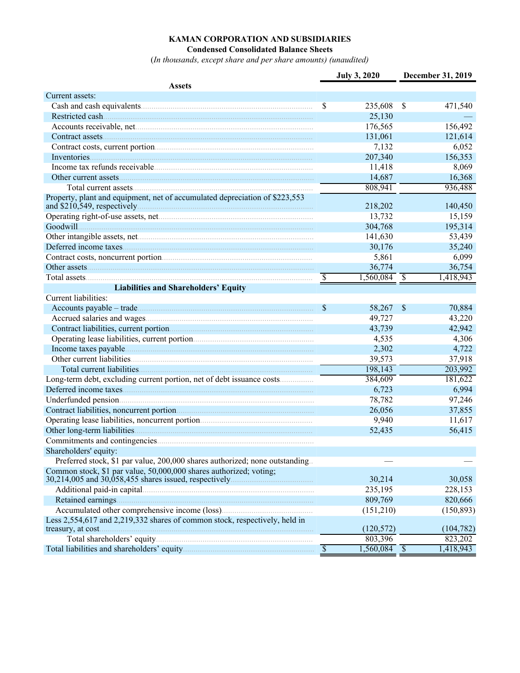# **KAMAN CORPORATION AND SUBSIDIARIES**

**Condensed Consolidated Balance Sheets**

(*In thousands, except share and per share amounts) (unaudited)*

|                                                                              |                          | <b>July 3, 2020</b>       |               | December 31, 2019 |
|------------------------------------------------------------------------------|--------------------------|---------------------------|---------------|-------------------|
| <b>Assets</b>                                                                |                          |                           |               |                   |
| Current assets:                                                              |                          |                           |               |                   |
|                                                                              | \$                       | 235,608                   | <sup>\$</sup> | 471,540           |
| Restricted cash                                                              |                          | 25,130                    |               |                   |
|                                                                              |                          | 176,565                   |               | 156,492           |
|                                                                              |                          | 131,061                   |               | 121,614           |
|                                                                              |                          | 7,132                     |               | 6,052             |
|                                                                              |                          | 207,340                   |               | 156,353           |
|                                                                              |                          | 11,418                    |               | 8,069             |
|                                                                              |                          | 14,687                    |               | 16,368            |
|                                                                              |                          | 808,941                   |               | 936,488           |
| Property, plant and equipment, net of accumulated depreciation of \$223,553  |                          |                           |               |                   |
|                                                                              |                          | 218,202                   |               | 140,450           |
|                                                                              |                          | 13,732                    |               | 15,159            |
|                                                                              |                          | 304,768                   |               | 195,314           |
|                                                                              |                          | 141,630                   |               | 53,439            |
|                                                                              |                          | 30,176                    |               | 35,240            |
|                                                                              |                          | 5,861                     |               | 6,099             |
|                                                                              |                          | 36,774                    |               | 36,754            |
|                                                                              | \$                       |                           |               | 1,418,943         |
| <b>Liabilities and Shareholders' Equity</b>                                  |                          |                           |               |                   |
| Current liabilities:                                                         |                          |                           |               |                   |
|                                                                              | $\mathcal{S}$            | 58,267                    | $\mathcal{S}$ | 70,884            |
|                                                                              |                          | 49,727                    |               | 43,220            |
|                                                                              |                          | 43,739                    |               | 42,942            |
|                                                                              |                          | 4,535                     |               | 4,306             |
|                                                                              |                          | 2,302                     |               | 4,722             |
|                                                                              |                          | 39,573                    |               | 37,918            |
|                                                                              |                          | 198,143                   |               | 203,992           |
| Long-term debt, excluding current portion, net of debt issuance costs        |                          | 384,609                   |               | 181,622           |
|                                                                              |                          | 6,723                     |               | 6,994             |
|                                                                              |                          | 78,782                    |               | 97,246            |
|                                                                              |                          | 26,056                    |               | 37,855            |
|                                                                              |                          | 9,940                     |               | 11,617            |
|                                                                              |                          | 52,435                    |               | 56,415            |
|                                                                              |                          |                           |               |                   |
| Shareholders' equity:                                                        |                          |                           |               |                   |
| Preferred stock, \$1 par value, 200,000 shares authorized; none outstanding. |                          |                           |               |                   |
| Common stock, \$1 par value, 50,000,000 shares authorized; voting;           |                          |                           |               |                   |
|                                                                              |                          | 30,214                    |               | 30,058            |
|                                                                              |                          | 235,195                   |               | 228,153           |
|                                                                              |                          | 809,769                   |               | 820,666           |
|                                                                              |                          | (151,210)                 |               | (150, 893)        |
| Less 2,554,617 and 2,219,332 shares of common stock, respectively, held in   |                          | (120, 572)                |               | (104, 782)        |
|                                                                              |                          | 803,396                   |               | 823,202           |
|                                                                              | $\overline{\mathcal{S}}$ | $\overline{1,560,084}$ \$ |               | 1,418,943         |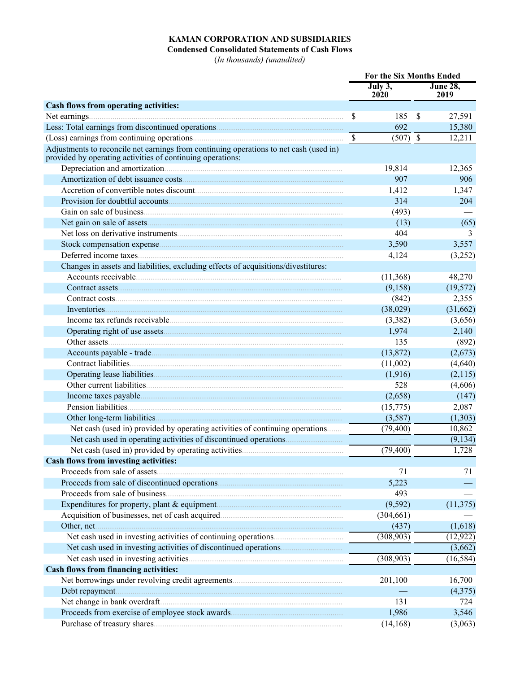## **KAMAN CORPORATION AND SUBSIDIARIES**

**Condensed Consolidated Statements of Cash Flows**

(*In thousands) (unaudited)*

|                                                                                                                                                      | For the Six Months Ended |                       |               |                         |
|------------------------------------------------------------------------------------------------------------------------------------------------------|--------------------------|-----------------------|---------------|-------------------------|
|                                                                                                                                                      |                          | July 3,<br>2020       |               | <b>June 28.</b><br>2019 |
| Cash flows from operating activities:                                                                                                                |                          |                       |               |                         |
| Net earnings                                                                                                                                         | \$                       | 185                   | <sup>\$</sup> | 27,591                  |
|                                                                                                                                                      |                          | 692                   |               | 15,380                  |
|                                                                                                                                                      | $\overline{\mathcal{S}}$ | $\overline{(507)}$ \$ |               | 12,211                  |
| Adjustments to reconcile net earnings from continuing operations to net cash (used in)<br>provided by operating activities of continuing operations: |                          |                       |               |                         |
|                                                                                                                                                      |                          | 19,814                |               | 12,365                  |
|                                                                                                                                                      |                          | 907                   |               | 906                     |
|                                                                                                                                                      |                          | 1,412                 |               | 1,347                   |
| Provision for doubtful accounts                                                                                                                      |                          | 314                   |               | 204                     |
|                                                                                                                                                      |                          | (493)                 |               |                         |
|                                                                                                                                                      |                          | (13)                  |               | (65)                    |
|                                                                                                                                                      |                          | 404                   |               | 3                       |
|                                                                                                                                                      |                          | 3,590                 |               | 3,557                   |
|                                                                                                                                                      |                          | 4,124                 |               | (3,252)                 |
| Changes in assets and liabilities, excluding effects of acquisitions/divestitures:                                                                   |                          |                       |               |                         |
|                                                                                                                                                      |                          | (11,368)              |               | 48,270                  |
|                                                                                                                                                      |                          | (9,158)               |               | (19, 572)               |
|                                                                                                                                                      |                          | (842)                 |               | 2,355                   |
| Inventories                                                                                                                                          |                          | (38,029)              |               | (31,662)                |
|                                                                                                                                                      |                          | (3,382)               |               | (3,656)                 |
|                                                                                                                                                      |                          | 1,974                 |               | 2,140                   |
|                                                                                                                                                      |                          | 135                   |               | (892)                   |
|                                                                                                                                                      |                          | (13,872)              |               | (2,673)                 |
|                                                                                                                                                      |                          | (11,002)              |               | (4,640)                 |
|                                                                                                                                                      |                          | (1,916)               |               | (2,115)                 |
|                                                                                                                                                      |                          | 528                   |               | (4,606)                 |
|                                                                                                                                                      |                          | (2,658)               |               | (147)                   |
|                                                                                                                                                      |                          | (15, 775)             |               | 2,087                   |
|                                                                                                                                                      |                          | (3,587)               |               | (1,303)                 |
| Net cash (used in) provided by operating activities of continuing operations                                                                         |                          | (79, 400)             |               | 10,862                  |
|                                                                                                                                                      |                          |                       |               | (9, 134)                |
|                                                                                                                                                      |                          | (79, 400)             |               | 1,728                   |
| <b>Cash flows from investing activities:</b>                                                                                                         |                          |                       |               |                         |
| Proceeds from sale of assets.                                                                                                                        |                          | 71                    |               | 71                      |
|                                                                                                                                                      |                          | 5,223                 |               |                         |
|                                                                                                                                                      |                          | 493                   |               |                         |
|                                                                                                                                                      |                          | (9, 592)              |               | (11, 375)               |
|                                                                                                                                                      |                          | (304, 661)            |               |                         |
|                                                                                                                                                      |                          | (437)                 |               | (1,618)                 |
|                                                                                                                                                      |                          | (308, 903)            |               | (12, 922)               |
|                                                                                                                                                      |                          |                       |               | (3,662)                 |
|                                                                                                                                                      |                          | (308,903)             |               | (16, 584)               |
| Cash flows from financing activities:                                                                                                                |                          |                       |               |                         |
|                                                                                                                                                      |                          | 201,100               |               | 16,700                  |
|                                                                                                                                                      |                          |                       |               | (4,375)                 |
|                                                                                                                                                      |                          | 131                   |               | 724                     |
|                                                                                                                                                      |                          | 1,986                 |               | 3,546                   |
|                                                                                                                                                      |                          | (14, 168)             |               | (3,063)                 |
|                                                                                                                                                      |                          |                       |               |                         |